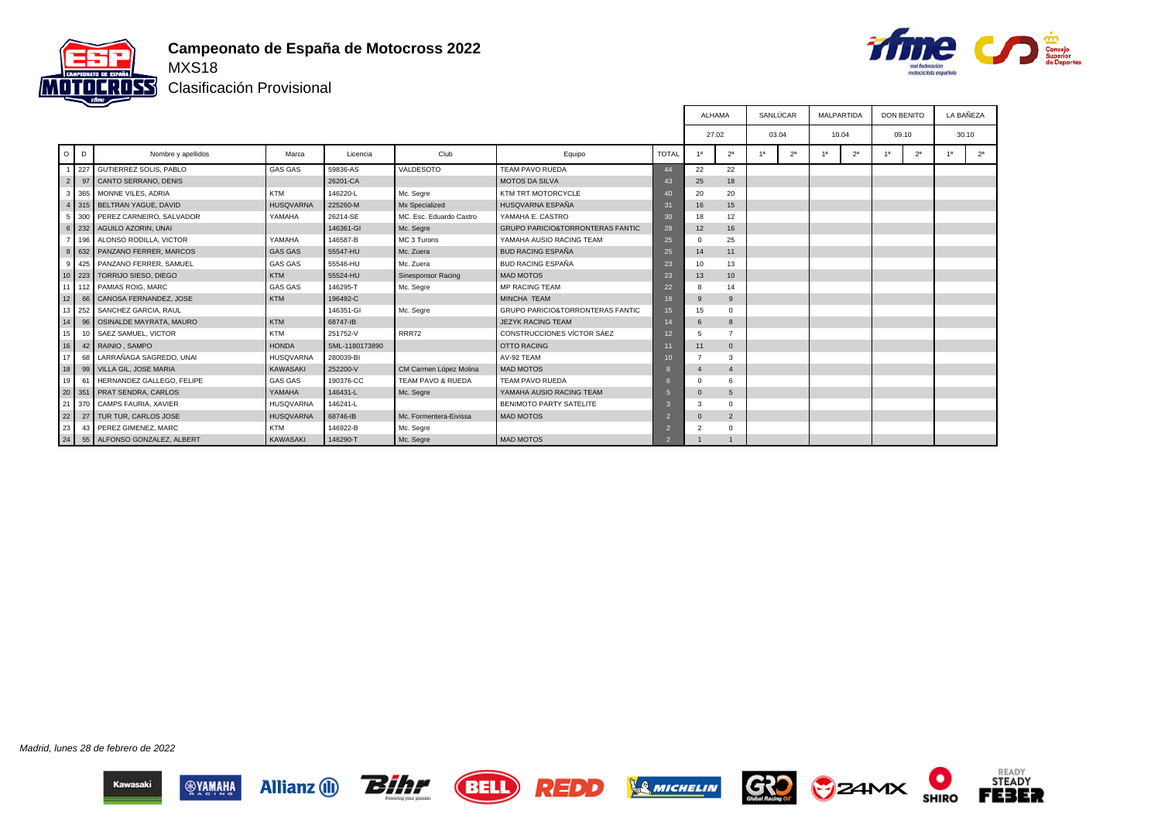



Clasificación Provisional

|                |                   |                                  |                  |                |                           |                                             |                 |                |                | SANLÚCAR       |                | <b>MALPARTIDA</b> |                | <b>DON BENITO</b> |                |                | LA BAÑEZA      |  |  |  |
|----------------|-------------------|----------------------------------|------------------|----------------|---------------------------|---------------------------------------------|-----------------|----------------|----------------|----------------|----------------|-------------------|----------------|-------------------|----------------|----------------|----------------|--|--|--|
|                |                   |                                  |                  |                |                           |                                             |                 |                | 27.02          | 03.04          |                |                   | 10.04          | 09.10             |                |                | 30.10          |  |  |  |
|                | $O$ $D$           | Nombre y apellidos               | Marca            | Licencia       | Club                      | Equipo                                      | <b>TOTAL</b>    | 1a             | 2 <sup>a</sup> | 1 <sup>a</sup> | 2 <sup>a</sup> | 1 <sup>a</sup>    | 2 <sup>a</sup> | 1 <sup>a</sup>    | 2 <sup>a</sup> | 1 <sup>a</sup> | 2 <sup>a</sup> |  |  |  |
|                | 227               | GUTIERREZ SOLIS, PABLO           | <b>GAS GAS</b>   | 59836-AS       | VALDESOTO                 | <b>TEAM PAVO RUEDA</b>                      | 44              | 22             | 22             |                |                |                   |                |                   |                |                |                |  |  |  |
| $\overline{2}$ | 97                | CANTO SERRANO, DENIS             |                  | 26201-CA       |                           | <b>MOTOS DA SILVA</b>                       | 43              | 25             | 18             |                |                |                   |                |                   |                |                |                |  |  |  |
|                | 3 365             | MONNE VILES, ADRIA               | <b>KTM</b>       | 146220-L       | Mc. Segre                 | KTM TRT MOTORCYCLE                          | 40              | 20             | 20             |                |                |                   |                |                   |                |                |                |  |  |  |
|                |                   | 4 315 BELTRAN YAGUE, DAVID       | <b>HUSQVARNA</b> | 225260-M       | Mx Specialized            | HUSQVARNA ESPAÑA                            | 31              | 16             | 15             |                |                |                   |                |                   |                |                |                |  |  |  |
|                | 5 300             | PEREZ CARNEIRO, SALVADOR         | YAMAHA           | 26214-SE       | MC. Esc. Eduardo Castro   | YAMAHA E. CASTRO                            | 30              | 18             | 12             |                |                |                   |                |                   |                |                |                |  |  |  |
|                |                   | 6 232 AGUILO AZORIN, UNAI        |                  | 146361-GI      | Mc. Segre                 | <b>GRUPO PARICIO&amp;TORRONTERAS FANTIC</b> | 28              | 12             | 16             |                |                |                   |                |                   |                |                |                |  |  |  |
|                |                   | 7   196   ALONSO RODILLA, VICTOR | YAMAHA           | 146587-B       | MC 3 Turons               | YAMAHA AUSIO RACING TEAM                    | 25              | $\Omega$       | 25             |                |                |                   |                |                   |                |                |                |  |  |  |
|                |                   | 8 632 PANZANO FERRER, MARCOS     | <b>GAS GAS</b>   | 55547-HU       | Mc. Zuera                 | <b>BUD RACING ESPAÑA</b>                    | 25              | 14             | 11             |                |                |                   |                |                   |                |                |                |  |  |  |
|                | $9 \mid 425 \mid$ | PANZANO FERRER, SAMUEL           | <b>GAS GAS</b>   | 55546-HU       | Mc. Zuera                 | <b>BUD RACING ESPAÑA</b>                    | 23              | 10             | 13             |                |                |                   |                |                   |                |                |                |  |  |  |
|                |                   | 10   223   TORRIJO SIESO, DIEGO  | KTM              | 55524-HU       | <b>Sinesponsor Racing</b> | MAD MOTOS                                   | 23              | 13             | 10             |                |                |                   |                |                   |                |                |                |  |  |  |
|                |                   | 11 112 PAMIAS ROIG, MARC         | <b>GAS GAS</b>   | 146295-T       | Mc. Segre                 | <b>MP RACING TEAM</b>                       | 22              | 8              | 14             |                |                |                   |                |                   |                |                |                |  |  |  |
| 12             | 66                | CANOSA FERNANDEZ, JOSE           | KTM              | 196492-C       |                           | <b>MINCHA TEAM</b>                          | 18              | 9              | 9              |                |                |                   |                |                   |                |                |                |  |  |  |
| 13             | 252               | SANCHEZ GARCIA, RAUL             |                  | 146351-GI      | Mc. Segre                 | <b>GRUPO PARICIO&amp;TORRONTERAS FANTIC</b> | 15              | 15             | $^{\circ}$     |                |                |                   |                |                   |                |                |                |  |  |  |
| 14             | 96                | OSINALDE MAYRATA, MAURO          | KTM              | 68747-IB       |                           | JEZYK RACING TEAM                           | 14              | 6              | 8              |                |                |                   |                |                   |                |                |                |  |  |  |
| 15             | 10 <sup>1</sup>   | SAEZ SAMUEL, VICTOR              | <b>KTM</b>       | 251752-V       | <b>RRR72</b>              | CONSTRUCCIONES VÍCTOR SÁEZ                  | 12 <sup>°</sup> | $5^{\circ}$    | $\overline{z}$ |                |                |                   |                |                   |                |                |                |  |  |  |
| 16             |                   | 42 RAINIO, SAMPO                 | <b>HONDA</b>     | SML-1180173890 |                           | <b>OTTO RACING</b>                          | 66              | 11             | $\overline{0}$ |                |                |                   |                |                   |                |                |                |  |  |  |
| 17             | 68                | LARRAÑAGA SAGREDO, UNAI          | <b>HUSQVARNA</b> | 280039-BI      |                           | AV-92 TEAM                                  | 10 <sup>1</sup> |                | 3              |                |                |                   |                |                   |                |                |                |  |  |  |
| 18             |                   | 99 VILLA GIL, JOSE MARIA         | <b>KAWASAKI</b>  | 252200-V       | CM Carmen López Molina    | <b>MAD MOTOS</b>                            |                 |                |                |                |                |                   |                |                   |                |                |                |  |  |  |
| 19             | 61                | HERNANDEZ GALLEGO, FELIPE        | <b>GAS GAS</b>   | 190376-CC      | TEAM PAVO & RUEDA         | TEAM PAVO RUEDA                             |                 | $\Omega$       | 6              |                |                |                   |                |                   |                |                |                |  |  |  |
| 20             | 351               | <b>PRAT SENDRA, CARLOS</b>       | YAMAHA           | 146431-L       | Mc. Segre                 | YAMAHA AUSIO RACING TEAM                    |                 | $\Omega$       | 5              |                |                |                   |                |                   |                |                |                |  |  |  |
|                | 21 370            | CAMPS FAURIA, XAVIER             | <b>HUSQVARNA</b> | 146241-L       |                           | BENIMOTO PARTY SATELITE                     |                 | $\mathbf{3}$   | $^{\circ}$     |                |                |                   |                |                   |                |                |                |  |  |  |
| 22             |                   | 27   TUR TUR, CARLOS JOSE        | <b>HUSQVARNA</b> | 68746-IB       | Mc. Formentera-Eivissa    | <b>MAD MOTOS</b>                            |                 | $\overline{0}$ | $\overline{2}$ |                |                |                   |                |                   |                |                |                |  |  |  |
| 23             | 43                | PEREZ GIMENEZ, MARC              | <b>KTM</b>       | 146922-B       | Mc. Segre                 |                                             |                 | $\overline{c}$ | $\mathbf 0$    |                |                |                   |                |                   |                |                |                |  |  |  |
| 24             |                   | 55 ALFONSO GONZALEZ, ALBERT      | <b>KAWASAKI</b>  | 146290-T       | Mc. Segre                 | <b>MAD MOTOS</b>                            |                 |                |                |                |                |                   |                |                   |                |                |                |  |  |  |

Madrid, lunes 28 de febrero de 2022













О

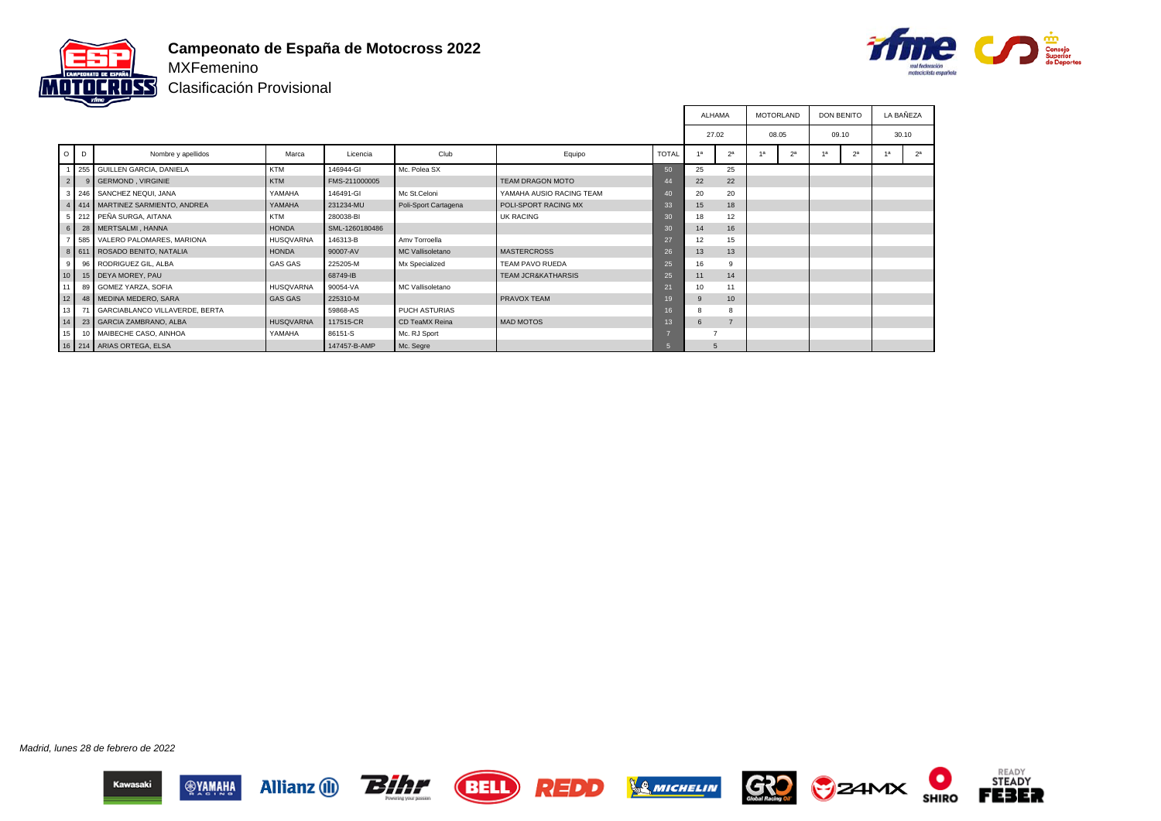



Clasificación Provisional

|                 |                |                                       |                  |                |                      |                               |                | <b>ALHAMA</b>                          |            | <b>MOTORLAND</b> |                | <b>DON BENITO</b> |                | LA BAÑEZA |                |
|-----------------|----------------|---------------------------------------|------------------|----------------|----------------------|-------------------------------|----------------|----------------------------------------|------------|------------------|----------------|-------------------|----------------|-----------|----------------|
|                 |                |                                       |                  |                |                      |                               |                | 27.02<br>08.05<br>2 <sup>a</sup><br>4a |            |                  |                | 09.10             |                | 30.10     |                |
|                 | $O$ $D$        | Nombre y apellidos                    | Marca            | Licencia       | Club                 | Equipo                        | <b>TOTAL</b>   |                                        |            |                  | 2 <sup>a</sup> | 42                | 2 <sup>a</sup> |           | 2 <sup>a</sup> |
|                 |                | 1 255 GUILLEN GARCIA, DANIELA         | <b>KTM</b>       | 146944-GI      | Mc. Polea SX         |                               | 50             | 25                                     | 25         |                  |                |                   |                |           |                |
|                 | $2 \mid$       | 9 GERMOND, VIRGINIE                   | <b>KTM</b>       | FMS-211000005  |                      | <b>TEAM DRAGON MOTO</b>       | 44             | 22                                     | 22         |                  |                |                   |                |           |                |
|                 |                | 3 246 SANCHEZ NEQUI, JANA             | YAMAHA           | 146491-GI      | Mc St.Celoni         | YAMAHA AUSIO RACING TEAM      | 40             | 20                                     | 20         |                  |                |                   |                |           |                |
|                 |                | 4   414   MARTINEZ SARMIENTO, ANDREA  | YAMAHA           | 231234-MU      | Poli-Sport Cartagena | POLI-SPORT RACING MX          | 33             | 15                                     | 18         |                  |                |                   |                |           |                |
|                 |                | 5 212 PEÑA SURGA, AITANA              | <b>KTM</b>       | 280038-BI      |                      | <b>UK RACING</b>              | 30             | 18                                     | 12         |                  |                |                   |                |           |                |
|                 |                | 6 28 MERTSALMI, HANNA                 | <b>HONDA</b>     | SML-1260180486 |                      |                               | 30             | 14                                     | 16         |                  |                |                   |                |           |                |
|                 |                | 7 585 VALERO PALOMARES, MARIONA       | <b>HUSQVARNA</b> | 146313-B       | Amy Torroella        |                               | 27             | 12                                     | 15         |                  |                |                   |                |           |                |
|                 |                | 8 611 ROSADO BENITO, NATALIA          | <b>HONDA</b>     | 90007-AV       | MC Vallisoletano     | <b>MASTERCROSS</b>            | 26             | 13                                     | 13         |                  |                |                   |                |           |                |
|                 | 9 <sup>1</sup> | 96 RODRIGUEZ GIL, ALBA                | <b>GAS GAS</b>   | 225205-M       | Mx Specialized       | TEAM PAVO RUEDA               | 25             | 16                                     | 9          |                  |                |                   |                |           |                |
| 10              |                | 15 DEYA MOREY, PAU                    |                  | 68749-IB       |                      | <b>TEAM JCR&amp;KATHARSIS</b> | 25             | 11                                     | 14         |                  |                |                   |                |           |                |
| 11 <sup>1</sup> |                | 89 GOMEZ YARZA, SOFIA                 | <b>HUSQVARNA</b> | 90054-VA       | MC Vallisoletano     |                               | 21             | 10                                     | 11         |                  |                |                   |                |           |                |
| 12              |                | 48   MEDINA MEDERO, SARA              | <b>GAS GAS</b>   | 225310-M       |                      | <b>PRAVOX TEAM</b>            | 19             |                                        | 10         |                  |                |                   |                |           |                |
| 13              | 71             | <b>GARCIABLANCO VILLAVERDE, BERTA</b> |                  | 59868-AS       | PUCH ASTURIAS        |                               | 16             |                                        |            |                  |                |                   |                |           |                |
| 14              |                | 23 GARCIA ZAMBRANO, ALBA              | <b>HUSQVARNA</b> | 117515-CR      | CD TeaMX Reina       | <b>MAD MOTOS</b>              | 13             | 6                                      |            |                  |                |                   |                |           |                |
| 15 <sup>1</sup> |                | 10 MAIBECHE CASO, AINHOA              | YAMAHA           | 86151-S        | Mc. RJ Sport         |                               |                |                                        |            |                  |                |                   |                |           |                |
|                 |                | 16 214 ARIAS ORTEGA, ELSA             |                  | 147457-B-AMP   | Mc. Segre            |                               | 5 <sup>5</sup> |                                        | $\sqrt{5}$ |                  |                |                   |                |           |                |

Madrid, lunes 28 de febrero de 2022















О

**SHIRO**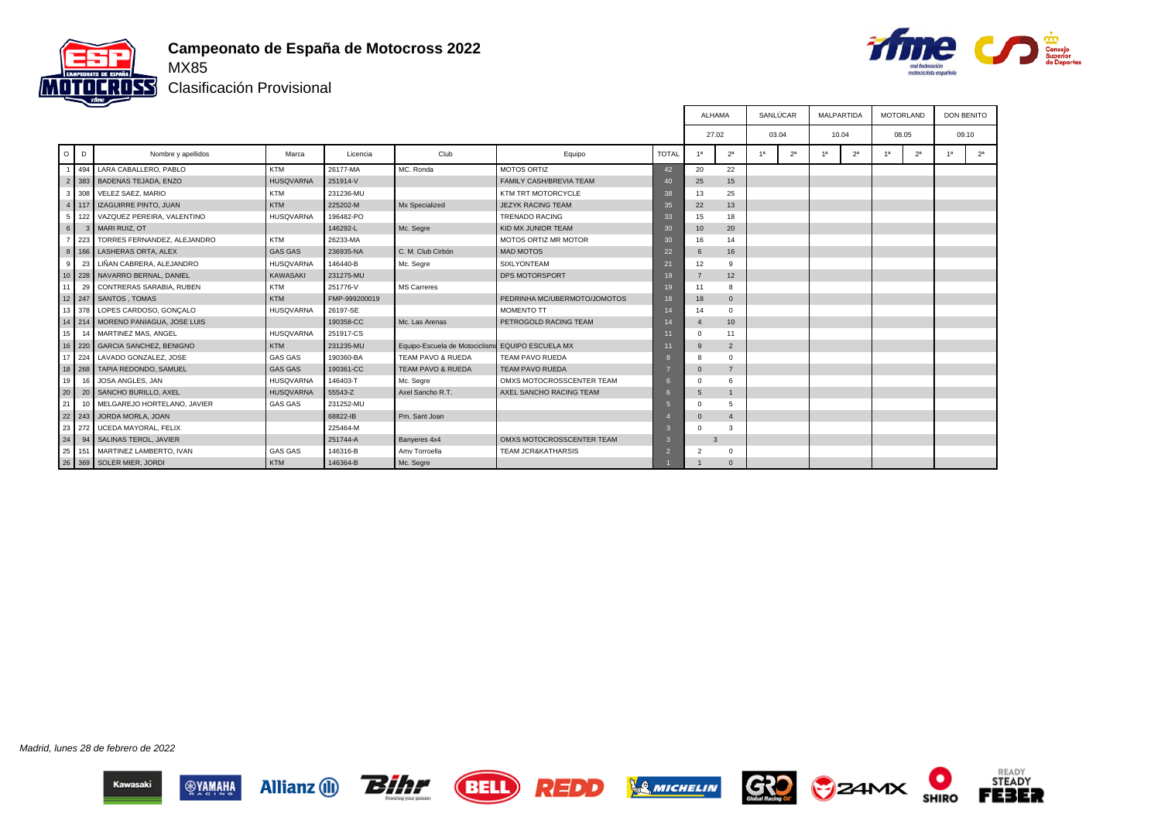



Clasificación Provisional

|                |         |                                   |                  |               |                                |                                |                 | ALHAMA         |                | SANLÚCAR |                |    | <b>MALPARTIDA</b> | <b>MOTORLAND</b> |                |    | <b>DON BENITO</b> |
|----------------|---------|-----------------------------------|------------------|---------------|--------------------------------|--------------------------------|-----------------|----------------|----------------|----------|----------------|----|-------------------|------------------|----------------|----|-------------------|
|                |         |                                   |                  |               |                                |                                |                 | 27.02          |                | 03.04    |                |    | 10.04             | 08.05            |                |    | 09.10             |
| $\circ$        | D       | Nombre y apellidos                | Marca            | Licencia      | Club                           | Equipo                         | <b>TOTAL</b>    | 1 <sup>a</sup> | 2 <sup>a</sup> | 4a       | 2 <sup>a</sup> | 1a | 2 <sup>a</sup>    | 1 <sup>a</sup>   | 2 <sup>a</sup> | 1a | 2 <sup>a</sup>    |
|                | 494     | LARA CABALLERO. PABLO             | <b>KTM</b>       | 26177-MA      | MC. Ronda                      | <b>MOTOS ORTIZ</b>             | 42              | 20             | 22             |          |                |    |                   |                  |                |    |                   |
| $\overline{2}$ |         | 383 BADENAS TEJADA, ENZO          | <b>HUSQVARNA</b> | 251914-V      |                                | <b>FAMILY CASH/BREVIA TEAM</b> | 40 <sup>°</sup> | 25             | 15             |          |                |    |                   |                  |                |    |                   |
| 3 I            |         | 308 VELEZ SAEZ, MARIO             | <b>KTM</b>       | 231236-MU     |                                | KTM TRT MOTORCYCLE             | 38              | 13             | 25             |          |                |    |                   |                  |                |    |                   |
|                | $4$ 117 | IZAGUIRRE PINTO, JUAN             | KTM              | 225202-M      | Mx Specialized                 | <b>JEZYK RACING TEAM</b>       | 35              | 22             | 13             |          |                |    |                   |                  |                |    |                   |
| 5 <sub>1</sub> | 122     | VAZQUEZ PEREIRA, VALENTINO        | <b>HUSQVARNA</b> | 196482-PO     |                                | <b>TRENADO RACING</b>          | 33              | 15             | 18             |          |                |    |                   |                  |                |    |                   |
| 6              |         | 3 MARI RUIZ, OT                   |                  | 146292-L      | Mc. Segre                      | KID MX JUNIOR TEAM             | 30 <sup>°</sup> | 10             | 20             |          |                |    |                   |                  |                |    |                   |
| 7 <sup>1</sup> |         | 223 TORRES FERNANDEZ, ALEJANDRO   | <b>KTM</b>       | 26233-MA      |                                | MOTOS ORTIZ MR MOTOR           | 30 <sup>°</sup> | 16             | 14             |          |                |    |                   |                  |                |    |                   |
|                | 8   166 | LASHERAS ORTA, ALEX               | <b>GAS GAS</b>   | 236935-NA     | C. M. Club Cirbón              | <b>MAD MOTOS</b>               | 22              | 6              | 16             |          |                |    |                   |                  |                |    |                   |
| 9              | 23      | LIÑAN CABRERA, ALEJANDRO          | <b>HUSQVARNA</b> | 146440-B      | Mc. Segre                      | <b>SIXLYONTEAM</b>             | 21              | 12             | 9              |          |                |    |                   |                  |                |    |                   |
|                |         | 10 228 NAVARRO BERNAL, DANIEL     | KAWASAKI         | 231275-MU     |                                | DPS MOTORSPORT                 | 19              | $\overline{7}$ | 12             |          |                |    |                   |                  |                |    |                   |
| 11             | 29      | CONTRERAS SARABIA, RUBEN          | <b>KTM</b>       | 251776-V      | <b>MS Carreres</b>             |                                | 19              | 11             | 8              |          |                |    |                   |                  |                |    |                   |
|                |         | 12 247 SANTOS, TOMAS              | KTM              | FMP-999200019 |                                | PEDRINHA MC/UBERMOTO/JOMOTOS   |                 | 18             | $\mathbf 0$    |          |                |    |                   |                  |                |    |                   |
|                |         | 13 378 LOPES CARDOSO, GONCALO     | <b>HUSQVARNA</b> | 26197-SE      |                                | <b>MOMENTO TT</b>              |                 | 14             | $\Omega$       |          |                |    |                   |                  |                |    |                   |
|                |         | 14 214 MORENO PANIAGUA, JOSE LUIS |                  | 190358-CC     | Mc. Las Arenas                 | PETROGOLD RACING TEAM          |                 | $\overline{4}$ | 10             |          |                |    |                   |                  |                |    |                   |
| 15             |         | MARTINEZ MAS, ANGEL               | <b>HUSQVARNA</b> | 251917-CS     |                                |                                |                 | $\mathbf 0$    | 11             |          |                |    |                   |                  |                |    |                   |
|                |         | 16 220 GARCIA SANCHEZ, BENIGNO    | KTM              | 231235-MU     | Equipo-Escuela de Motociclismo | <b>EQUIPO ESCUELA MX</b>       |                 | 9              | $\overline{2}$ |          |                |    |                   |                  |                |    |                   |
|                | 17 224  | LAVADO GONZALEZ, JOSE             | GAS GAS          | 190360-BA     | TEAM PAVO & RUEDA              | TEAM PAVO RUEDA                |                 | 8              | $\Omega$       |          |                |    |                   |                  |                |    |                   |
|                |         | 18 268 TAPIA REDONDO, SAMUEL      | <b>GAS GAS</b>   | 190361-CC     | <b>TEAM PAVO &amp; RUEDA</b>   | <b>TEAM PAVO RUEDA</b>         |                 | $\mathbf{0}$   | $\overline{7}$ |          |                |    |                   |                  |                |    |                   |
| 19             | 16      | JOSA ANGLES, JAN                  | <b>HUSQVARNA</b> | 146403-T      | Mc. Segre                      | OMXS MOTOCROSSCENTER TEAM      |                 | $\Omega$       | 6              |          |                |    |                   |                  |                |    |                   |
| 20             | 20      | SANCHO BURILLO, AXEL              | <b>HUSQVARNA</b> | 55543-Z       | Axel Sancho R.T.               | AXEL SANCHO RACING TEAM        |                 | 5              |                |          |                |    |                   |                  |                |    |                   |
| 21             |         | 10 MELGAREJO HORTELANO, JAVIER    | <b>GAS GAS</b>   | 231252-MU     |                                |                                |                 | $\Omega$       | 5              |          |                |    |                   |                  |                |    |                   |
| 22             |         | 243 JORDA MORLA, JOAN             |                  | 68822-IB      | Pm. Sant Joan                  |                                |                 | $\Omega$       | $\overline{4}$ |          |                |    |                   |                  |                |    |                   |
| 23             | 272     | <b>UCEDA MAYORAL, FELIX</b>       |                  | 225464-M      |                                |                                |                 | $\Omega$       | 3              |          |                |    |                   |                  |                |    |                   |
| 24             | 94      | SALINAS TEROL, JAVIER             |                  | 251744-A      | Banyeres 4x4                   | OMXS MOTOCROSSCENTER TEAM      |                 | 3              |                |          |                |    |                   |                  |                |    |                   |
|                |         | 25 151 MARTINEZ LAMBERTO, IVAN    | <b>GAS GAS</b>   | 146316-B      | Amv Torroella                  | <b>TEAM JCR&amp;KATHARSIS</b>  |                 | $\overline{2}$ | $\Omega$       |          |                |    |                   |                  |                |    |                   |
|                |         | 26 369 SOLER MIER, JORDI          | KTM              | 146364-B      | Mc. Segre                      |                                |                 |                | $\Omega$       |          |                |    |                   |                  |                |    |                   |

Madrid, lunes 28 de febrero de 2022















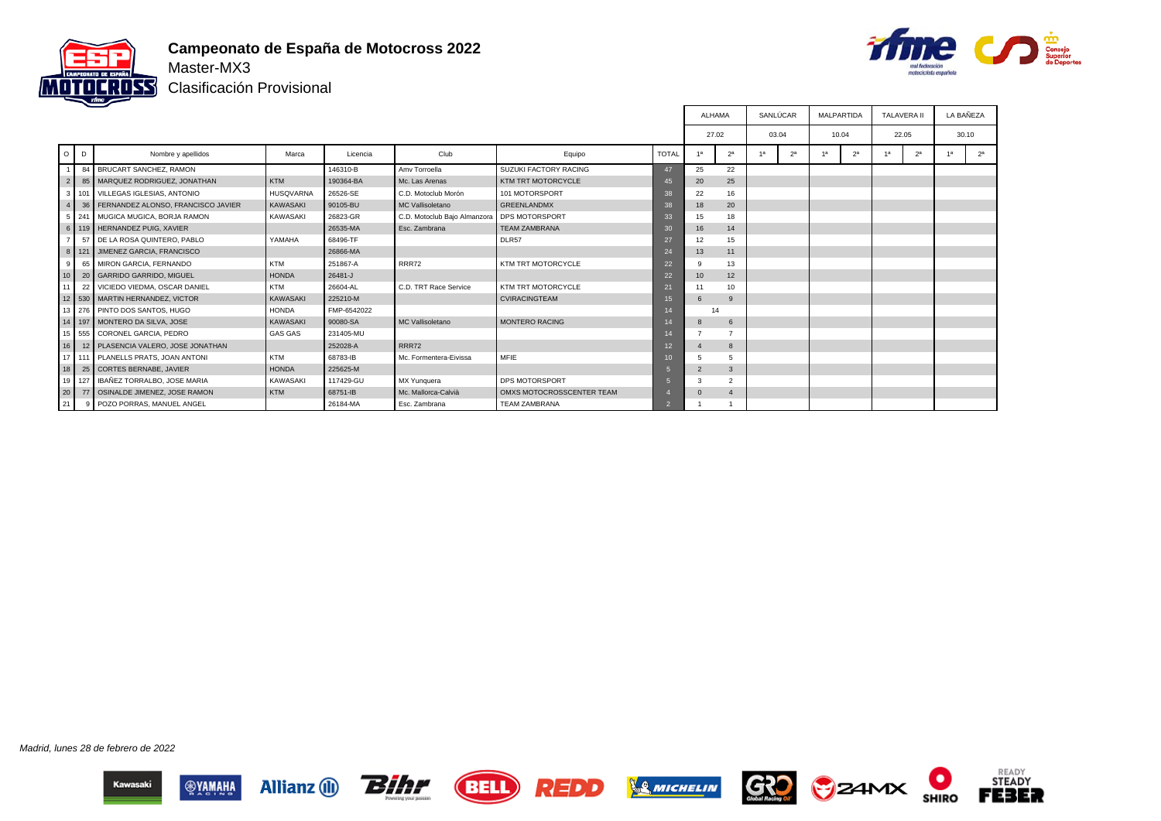

#### **Campeonato de España de Motocross 2022** Master-MX3



Clasificación Provisional

|                 |   |                                        |                  |             |                                             |                           |              |                |                |       | SANLÚCAR       |    | MALPARTIDA     | <b>TALAVERA II</b> |                |    | LA BAÑEZA      |
|-----------------|---|----------------------------------------|------------------|-------------|---------------------------------------------|---------------------------|--------------|----------------|----------------|-------|----------------|----|----------------|--------------------|----------------|----|----------------|
|                 |   |                                        |                  |             |                                             |                           |              | 27.02          |                | 03.04 |                |    | 10.04          | 22.05              |                |    | 30.10          |
| $\circ$ $\circ$ | D | Nombre y apellidos                     | Marca            | Licencia    | Club                                        | Equipo                    | <b>TOTAL</b> | 1a             | 2 <sup>a</sup> | 1a    | 2 <sup>a</sup> | 1a | 2 <sup>a</sup> | 1 <sup>a</sup>     | 2 <sup>a</sup> | 1a | 2 <sup>a</sup> |
|                 |   | 84 BRUCART SANCHEZ, RAMON              |                  | 146310-B    | Amy Torroella                               | SUZUKI FACTORY RACING     | 47           | 25             | 22             |       |                |    |                |                    |                |    |                |
| $\sqrt{2}$      |   | 85   MARQUEZ RODRIGUEZ, JONATHAN       | KTM              | 190364-BA   | Mc. Las Arenas                              | KTM TRT MOTORCYCLE        | 45           | 20             | 25             |       |                |    |                |                    |                |    |                |
| 3 I             |   | 101 VILLEGAS IGLESIAS, ANTONIO         | <b>HUSQVARNA</b> | 26526-SE    | C.D. Motoclub Morón                         | 101 MOTORSPORT            | 38           | 22             | 16             |       |                |    |                |                    |                |    |                |
|                 |   | 36 FERNANDEZ ALONSO, FRANCISCO JAVIER  | <b>KAWASAKI</b>  | 90105-BU    | MC Vallisoletano                            | <b>GREENLANDMX</b>        | 38           | 18             | 20             |       |                |    |                |                    |                |    |                |
|                 |   | 5 241 MUGICA MUGICA, BORJA RAMON       | <b>KAWASAKI</b>  | 26823-GR    | C.D. Motoclub Bajo Almanzora DPS MOTORSPORT |                           | 33           | 15             | 18             |       |                |    |                |                    |                |    |                |
|                 |   | 6   119   HERNANDEZ PUIG, XAVIER       |                  | 26535-MA    | Esc. Zambrana                               | <b>TEAM ZAMBRANA</b>      | 30           | 16             | 14             |       |                |    |                |                    |                |    |                |
|                 |   | 57 DE LA ROSA QUINTERO, PABLO          | YAMAHA           | 68496-TF    |                                             | DLR57                     | 27           | 12             | 15             |       |                |    |                |                    |                |    |                |
|                 |   | 8   121   JIMENEZ GARCIA, FRANCISCO    |                  | 26866-MA    |                                             |                           | 24           | 13             | 11             |       |                |    |                |                    |                |    |                |
| 9               |   | 65 MIRON GARCIA, FERNANDO              | <b>KTM</b>       | 251867-A    | RRR72                                       | KTM TRT MOTORCYCLE        | 22           | 9              | 13             |       |                |    |                |                    |                |    |                |
| 110             |   | 20 GARRIDO GARRIDO, MIGUEL             | <b>HONDA</b>     | 26481-J     |                                             |                           | 22           | 10             | 12             |       |                |    |                |                    |                |    |                |
| 11              |   | 22 VICIEDO VIEDMA, OSCAR DANIEL        | <b>KTM</b>       | 26604-AL    | C.D. TRT Race Service                       | KTM TRT MOTORCYCLE        | 21           | 11             | 10             |       |                |    |                |                    |                |    |                |
|                 |   | 12 530 MARTIN HERNANDEZ, VICTOR        | <b>KAWASAKI</b>  | 225210-M    |                                             | <b>CVIRACINGTEAM</b>      | 15           | 6              | -9             |       |                |    |                |                    |                |    |                |
|                 |   | 13 276 PINTO DOS SANTOS. HUGO          | <b>HONDA</b>     | FMP-6542022 |                                             |                           |              | 14             |                |       |                |    |                |                    |                |    |                |
|                 |   | 14 197 MONTERO DA SILVA, JOSE          | <b>KAWASAKI</b>  | 90080-SA    | MC Vallisoletano                            | <b>MONTERO RACING</b>     |              | $\mathbf{8}$   | 6              |       |                |    |                |                    |                |    |                |
|                 |   | 15 555 CORONEL GARCIA, PEDRO           | <b>GAS GAS</b>   | 231405-MU   |                                             |                           |              |                |                |       |                |    |                |                    |                |    |                |
| 16              |   | 12 PLASENCIA VALERO, JOSE JONATHAN     |                  | 252028-A    | RRR72                                       |                           | 12           | $\overline{4}$ | 8              |       |                |    |                |                    |                |    |                |
|                 |   | 17 111 PLANELLS PRATS, JOAN ANTONI     | <b>KTM</b>       | 68783-IB    | Mc. Formentera-Eivissa                      | <b>MFIE</b>               |              | 5              | 5              |       |                |    |                |                    |                |    |                |
| 18              |   | 25 CORTES BERNABE, JAVIER              | <b>HONDA</b>     | 225625-M    |                                             |                           |              | $\overline{2}$ | 3              |       |                |    |                |                    |                |    |                |
|                 |   | 19   127   IBAÑEZ TORRALBO, JOSE MARIA | <b>KAWASAKI</b>  | 117429-GU   | MX Yunquera                                 | <b>DPS MOTORSPORT</b>     |              |                | $\overline{2}$ |       |                |    |                |                    |                |    |                |
| 20              |   | 77   OSINALDE JIMENEZ, JOSE RAMON      | KTM              | 68751-IB    | Mc. Mallorca-Calvià                         | OMXS MOTOCROSSCENTER TEAM |              |                | $\overline{4}$ |       |                |    |                |                    |                |    |                |
| 21              |   | 9 POZO PORRAS, MANUEL ANGEL            |                  | 26184-MA    | Esc. Zambrana                               | <b>TEAM ZAMBRANA</b>      |              |                |                |       |                |    |                |                    |                |    |                |

Madrid, lunes 28 de febrero de 2022















О

**SHIRO**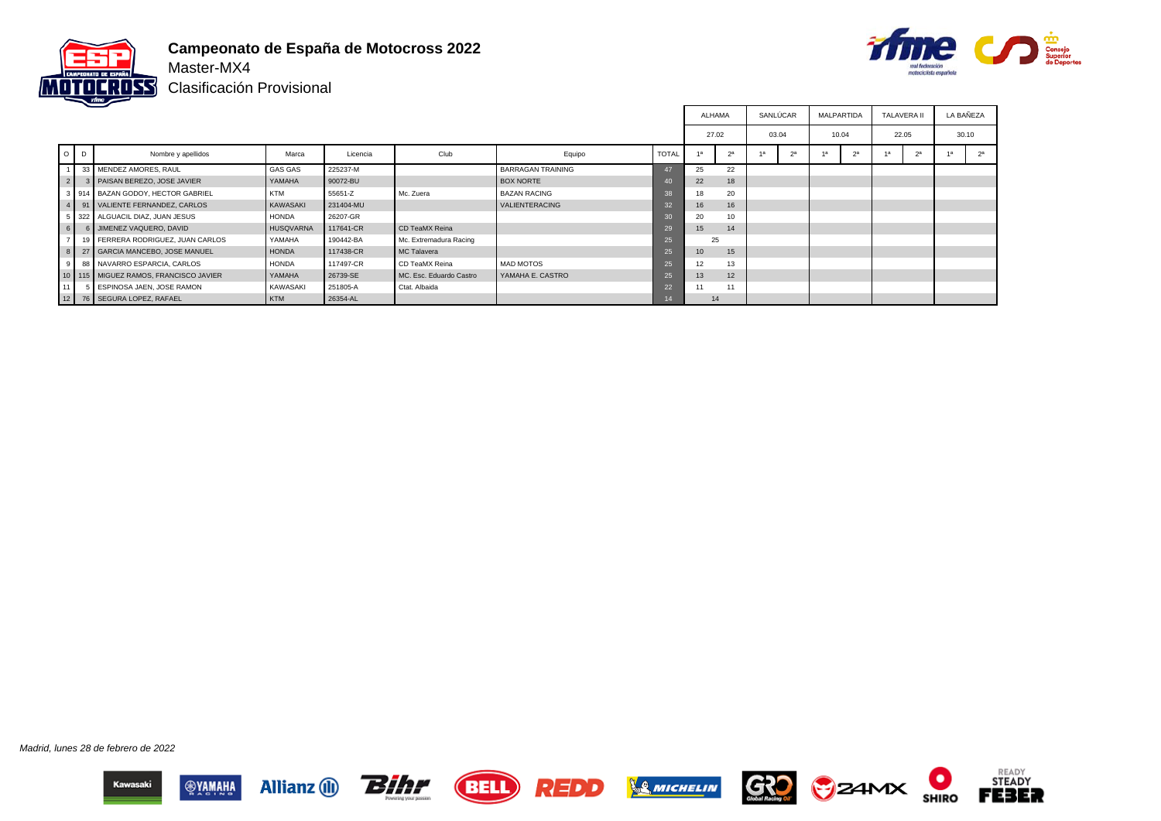

**Campeonato de España de Motocross 2022** Master-MX4



Clasificación Provisional

|                |         |                                           |                  |           |                         |                          |              |       |                | SANLÚCAR |                | <b>MALPARTIDA</b> |                | <b>TALAVERA II</b> |                | LA BAÑEZA |                |
|----------------|---------|-------------------------------------------|------------------|-----------|-------------------------|--------------------------|--------------|-------|----------------|----------|----------------|-------------------|----------------|--------------------|----------------|-----------|----------------|
|                |         |                                           |                  |           |                         |                          |              | 27.02 |                | 03.04    |                | 10.04             |                | 22.05              |                | 30.10     |                |
|                | $O$ $D$ | Nombre y apellidos                        | Marca            | Licencia  | Club                    | Equipo                   | <b>TOTAL</b> |       | 2 <sup>a</sup> |          | 2 <sup>a</sup> |                   | 2 <sup>a</sup> |                    | 2 <sup>a</sup> |           | 2 <sup>a</sup> |
|                |         | 33 MENDEZ AMORES, RAUL                    | <b>GAS GAS</b>   | 225237-M  |                         | <b>BARRAGAN TRAINING</b> | 47           | 25    | 22             |          |                |                   |                |                    |                |           |                |
| 2 <sup>1</sup> |         | 3   PAISAN BEREZO, JOSE JAVIER            | YAMAHA           | 90072-BU  |                         | <b>BOX NORTE</b>         | 40           | 22    | 18             |          |                |                   |                |                    |                |           |                |
|                |         | 3 914 BAZAN GODOY, HECTOR GABRIEL         | KTM              | 55651-Z   | Mc. Zuera               | <b>BAZAN RACING</b>      | 38           | 18    | 20             |          |                |                   |                |                    |                |           |                |
|                |         | 91 VALIENTE FERNANDEZ, CARLOS             | KAWASAKI         | 231404-MU |                         | VALIENTERACING           | 32           | 16    | 16             |          |                |                   |                |                    |                |           |                |
|                |         | 322 ALGUACIL DIAZ, JUAN JESUS             | <b>HONDA</b>     | 26207-GR  |                         |                          | 30           | 20    | 10             |          |                |                   |                |                    |                |           |                |
| 6              |         | <b>I</b> JIMENEZ VAQUERO. DAVID           | <b>HUSQVARNA</b> | 117641-CR | CD TeaMX Reina          |                          | 29           | 15    | 14             |          |                |                   |                |                    |                |           |                |
|                |         | 19 FERRERA RODRIGUEZ, JUAN CARLOS         | YAMAHA           | 190442-BA | Mc. Extremadura Racing  |                          | 25           | 25    |                |          |                |                   |                |                    |                |           |                |
| 8 <sup>1</sup> |         | 27 GARCIA MANCEBO, JOSE MANUEL            | <b>HONDA</b>     | 117438-CR | MC Talavera             |                          | 25           | 10    | 15             |          |                |                   |                |                    |                |           |                |
| 9              |         | 88 NAVARRO ESPARCIA, CARLOS               | <b>HONDA</b>     | 117497-CR | CD TeaMX Reina          | <b>MAD MOTOS</b>         | 25           | 12    | 13             |          |                |                   |                |                    |                |           |                |
|                |         | 10   115   MIGUEZ RAMOS, FRANCISCO JAVIER | YAMAHA           | 26739-SE  | MC. Esc. Eduardo Castro | YAMAHA E. CASTRO         | 25           | 13    | 12             |          |                |                   |                |                    |                |           |                |
|                |         | 5 ESPINOSA JAEN, JOSE RAMON               | KAWASAKI         | 251805-A  | Ctat, Albaida           |                          | 22           | 11    | 11             |          |                |                   |                |                    |                |           |                |
|                |         | 12 76 SEGURA LOPEZ, RAFAEL                | KTM              | 26354-AL  |                         |                          |              | 14    |                |          |                |                   |                |                    |                |           |                |

Madrid, lunes 28 de febrero de 2022













О

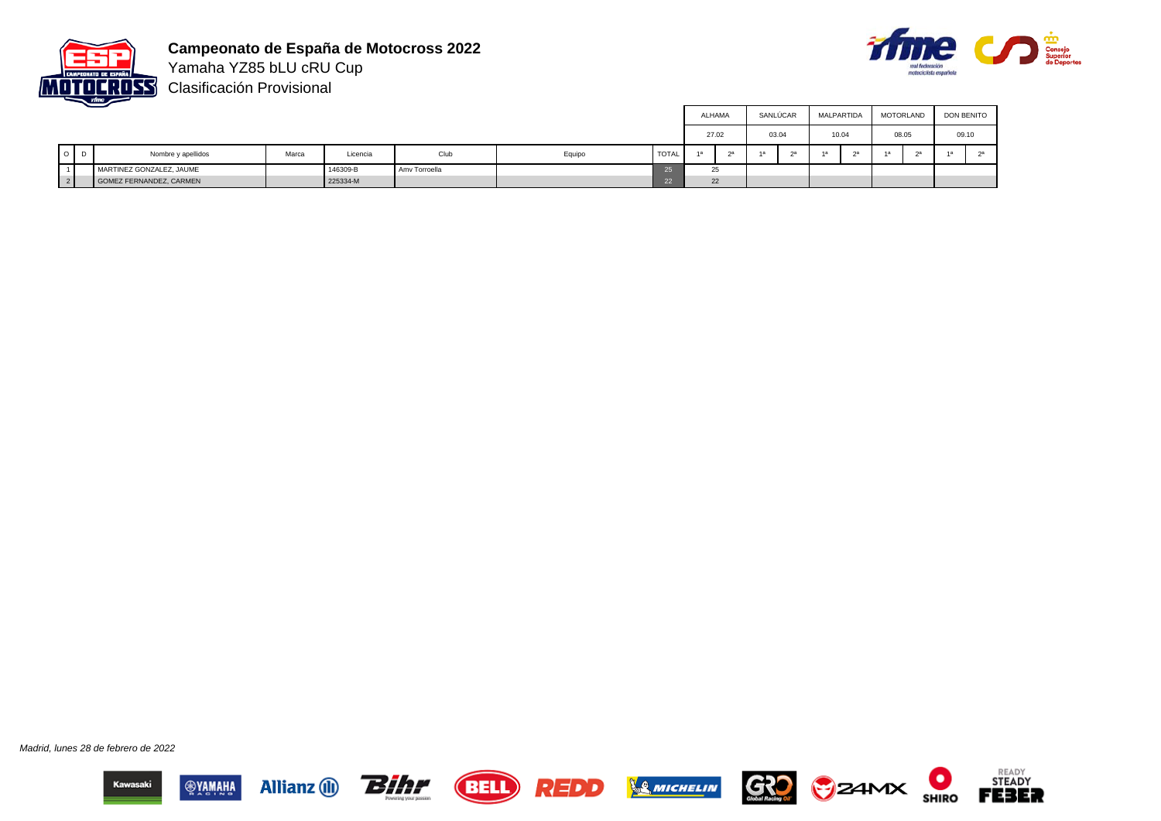



Yamaha YZ85 bLU cRU Cup Clasificación Provisional

|                          | __ |                          |       |          |               |        |       |       |    |    | SANLÚCAR |       | MALPARTIDA | MOTORLAND |        | <b>DON BENITO</b> |  |  |  |  |       |
|--------------------------|----|--------------------------|-------|----------|---------------|--------|-------|-------|----|----|----------|-------|------------|-----------|--------|-------------------|--|--|--|--|-------|
|                          |    |                          |       |          |               |        |       | 27.02 |    |    | 03.04    | 10.04 |            | 08.05     |        |                   |  |  |  |  | 09.10 |
| $\overline{\phantom{0}}$ | D  | Nombre y apellidos       | Marca | Licencia | Club          | Equipo | TOTAL | 4a    | 2a | 1a | $\sim$   |       |            |           | $\sim$ |                   |  |  |  |  |       |
|                          |    | MARTINEZ GONZALEZ, JAUME |       | 146309-B | Amv Torroella |        |       |       | 25 |    |          |       |            |           |        |                   |  |  |  |  |       |
| 2 <sup>1</sup>           |    | GOMEZ FERNANDEZ, CARMEN  |       | 225334-M |               |        |       |       | 22 |    |          |       |            |           |        |                   |  |  |  |  |       |

Madrid, lunes 28 de febrero de 2022













 $\bullet$ 

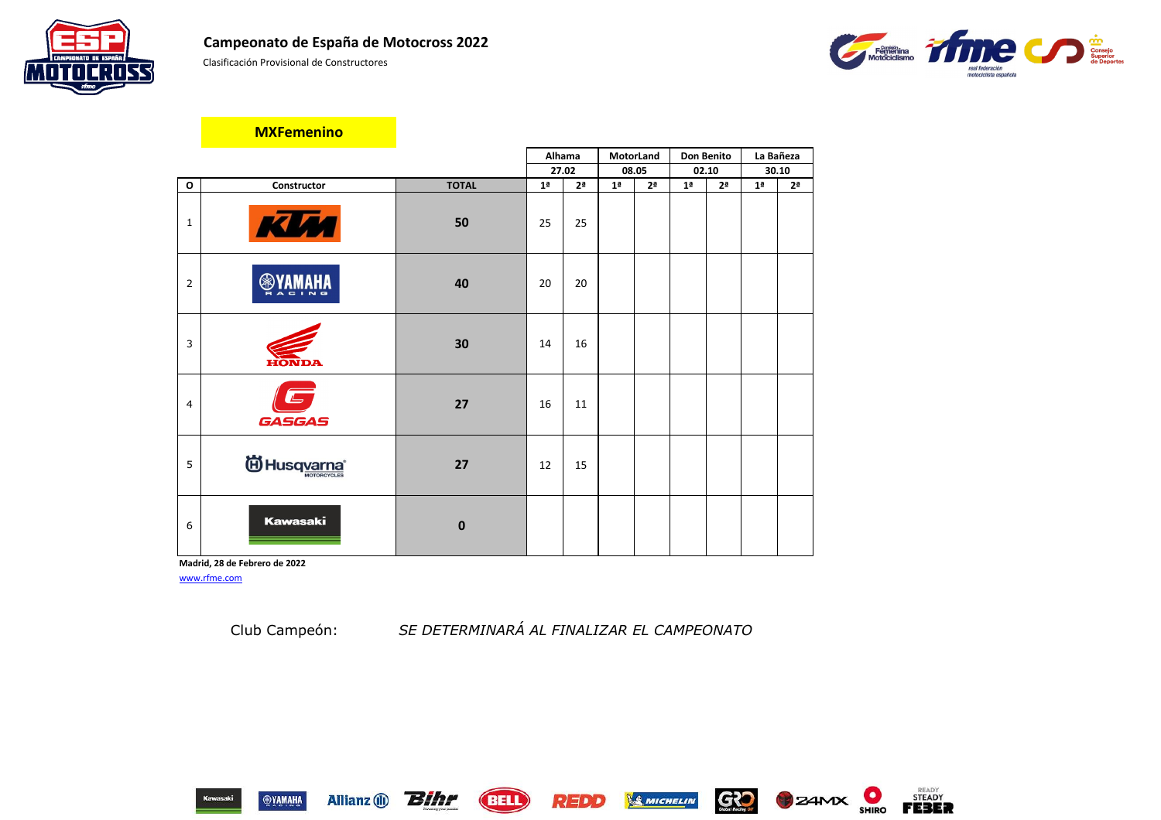Clasificación Provisional de Constructores



|                |                                  |                  | Alhama         |                | MotorLand      |                | <b>Don Benito</b> |                |                | La Bañeza      |
|----------------|----------------------------------|------------------|----------------|----------------|----------------|----------------|-------------------|----------------|----------------|----------------|
|                |                                  |                  | 27.02          |                | 08.05          |                |                   | 02.10          |                | 30.10          |
| $\mathbf{o}$   | Constructor                      | <b>TOTAL</b>     | 1 <sup>a</sup> | 2 <sup>a</sup> | 1 <sup>a</sup> | 2 <sup>a</sup> | 1 <sup>a</sup>    | 2 <sup>a</sup> | 1 <sup>a</sup> | 2 <sup>a</sup> |
| $\mathbf{1}$   | KIM                              | 50               | 25             | 25             |                |                |                   |                |                |                |
| $\overline{2}$ | <b>SEYAMAHA</b>                  | 40               | 20             | 20             |                |                |                   |                |                |                |
| 3              | HONDA                            | 30               | 14             | 16             |                |                |                   |                |                |                |
| $\overline{4}$ | $\Box$<br><b>GASGAS</b>          | 27               | 16             | 11             |                |                |                   |                |                |                |
| 5              | <sup>6</sup> Husq <u>varna</u> * | 27               | 12             | 15             |                |                |                   |                |                |                |
| 6              | <b>Kawasaki</b>                  | $\boldsymbol{0}$ |                |                |                |                |                   |                |                |                |

**Madrid, 28 de Febrero de 2022** [www.rfme.com](http://www.rfme.com/)

Allianz (i) **Bihr** 

Club Campeón: *SE DETERMINARÁ AL FINALIZAR EL CAMPEONATO*















# **MXFemenino**